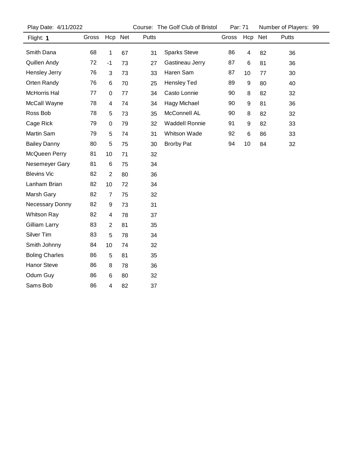| Play Date: 4/11/2022  |       |                         | Course: The Golf Club of Bristol |       | Par: 71               |       | Number of Players: 99 |         |       |  |
|-----------------------|-------|-------------------------|----------------------------------|-------|-----------------------|-------|-----------------------|---------|-------|--|
| Flight: 1             | Gross | Hcp Net                 |                                  | Putts |                       | Gross |                       | Hcp Net | Putts |  |
| Smith Dana            | 68    | $\mathbf 1$             | 67                               | 31    | <b>Sparks Steve</b>   | 86    | $\overline{4}$        | 82      | 36    |  |
| Quillen Andy          | 72    | $-1$                    | 73                               | 27    | Gastineau Jerry       | 87    | 6                     | 81      | 36    |  |
| Hensley Jerry         | 76    | 3                       | 73                               | 33    | Haren Sam             | 87    | 10                    | 77      | 30    |  |
| Orten Randy           | 76    | 6                       | 70                               | 25    | <b>Hensley Ted</b>    | 89    | $\boldsymbol{9}$      | 80      | 40    |  |
| McHorris Hal          | 77    | $\pmb{0}$               | 77                               | 34    | Casto Lonnie          | 90    | 8                     | 82      | 32    |  |
| McCall Wayne          | 78    | $\overline{\mathbf{4}}$ | 74                               | 34    | Hagy Michael          | 90    | 9                     | 81      | 36    |  |
| Ross Bob              | 78    | 5                       | 73                               | 35    | McConnell AL          | 90    | 8                     | 82      | 32    |  |
| Cage Rick             | 79    | $\pmb{0}$               | 79                               | 32    | <b>Waddell Ronnie</b> | 91    | 9                     | 82      | 33    |  |
| Martin Sam            | 79    | 5                       | 74                               | 31    | Whitson Wade          | 92    | $\,6\,$               | 86      | 33    |  |
| <b>Bailey Danny</b>   | 80    | 5                       | 75                               | 30    | <b>Brorby Pat</b>     | 94    | 10                    | 84      | 32    |  |
| McQueen Perry         | 81    | 10                      | 71                               | 32    |                       |       |                       |         |       |  |
| Nesemeyer Gary        | 81    | $\,6$                   | 75                               | 34    |                       |       |                       |         |       |  |
| <b>Blevins Vic</b>    | 82    | $\overline{c}$          | 80                               | 36    |                       |       |                       |         |       |  |
| Lanham Brian          | 82    | 10                      | 72                               | 34    |                       |       |                       |         |       |  |
| Marsh Gary            | 82    | $\overline{7}$          | 75                               | 32    |                       |       |                       |         |       |  |
| Necessary Donny       | 82    | 9                       | 73                               | 31    |                       |       |                       |         |       |  |
| <b>Whitson Ray</b>    | 82    | 4                       | 78                               | 37    |                       |       |                       |         |       |  |
| Gilliam Larry         | 83    | $\overline{2}$          | 81                               | 35    |                       |       |                       |         |       |  |
| Silver Tim            | 83    | 5                       | 78                               | 34    |                       |       |                       |         |       |  |
| Smith Johnny          | 84    | 10                      | 74                               | 32    |                       |       |                       |         |       |  |
| <b>Boling Charles</b> | 86    | $\overline{5}$          | 81                               | 35    |                       |       |                       |         |       |  |
| Hanor Steve           | 86    | 8                       | 78                               | 36    |                       |       |                       |         |       |  |
| Odum Guy              | 86    | 6                       | 80                               | 32    |                       |       |                       |         |       |  |
| Sams Bob              | 86    | 4                       | 82                               | 37    |                       |       |                       |         |       |  |
|                       |       |                         |                                  |       |                       |       |                       |         |       |  |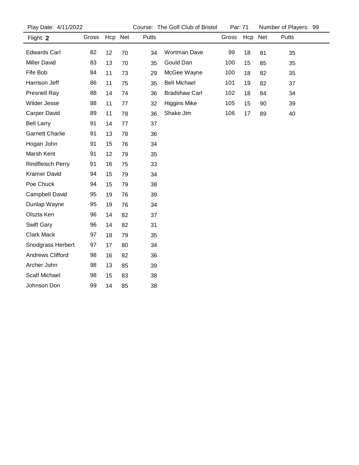| Play Date: 4/11/2022     |       |         |    |       | Course: The Golf Club of Bristol | Par: 71 |         |    | Number of Players: 99 |  |
|--------------------------|-------|---------|----|-------|----------------------------------|---------|---------|----|-----------------------|--|
| Flight: 2                | Gross | Hcp Net |    | Putts |                                  | Gross   | Hcp Net |    | Putts                 |  |
| <b>Edwards Carl</b>      | 82    | 12      | 70 | 34    | Wortman Dave                     | 99      | 18      | 81 | 35                    |  |
| <b>Miller David</b>      | 83    | 13      | 70 | 35    | Gould Dan                        | 100     | 15      | 85 | 35                    |  |
| Fife Bob                 | 84    | 11      | 73 | 29    | McGee Wayne                      | 100     | 18      | 82 | 35                    |  |
| Harrison Jeff            | 86    | 11      | 75 | 35    | <b>Bell Michael</b>              | 101     | 19      | 82 | 37                    |  |
| Presnell Ray             | 88    | 14      | 74 | 36    | <b>Bradshaw Carl</b>             | 102     | 18      | 84 | 34                    |  |
| Wilder Jesse             | 88    | 11      | 77 | 32    | <b>Higgins Mike</b>              | 105     | 15      | 90 | 39                    |  |
| <b>Carper David</b>      | 89    | 11      | 78 | 36    | Shake Jim                        | 106     | 17      | 89 | 40                    |  |
| <b>Bell Larry</b>        | 91    | 14      | 77 | 37    |                                  |         |         |    |                       |  |
| <b>Garnett Charlie</b>   | 91    | 13      | 78 | 36    |                                  |         |         |    |                       |  |
| Hogan John               | 91    | 15      | 76 | 34    |                                  |         |         |    |                       |  |
| Marsh Kent               | 91    | 12      | 79 | 35    |                                  |         |         |    |                       |  |
| <b>Rindfleisch Perry</b> | 91    | 16      | 75 | 33    |                                  |         |         |    |                       |  |
| <b>Kramer David</b>      | 94    | 15      | 79 | 34    |                                  |         |         |    |                       |  |
| Poe Chuck                | 94    | 15      | 79 | 38    |                                  |         |         |    |                       |  |
| Campbell David           | 95    | 19      | 76 | 39    |                                  |         |         |    |                       |  |
| Dunlap Wayne             | 95    | 19      | 76 | 34    |                                  |         |         |    |                       |  |
| Olszta Ken               | 96    | 14      | 82 | 37    |                                  |         |         |    |                       |  |
| Swift Gary               | 96    | 14      | 82 | 31    |                                  |         |         |    |                       |  |
| <b>Clark Mack</b>        | 97    | 18      | 79 | 35    |                                  |         |         |    |                       |  |
| Snodgrass Herbert        | 97    | 17      | 80 | 34    |                                  |         |         |    |                       |  |
| <b>Andrews Clifford</b>  | 98    | 16      | 82 | 36    |                                  |         |         |    |                       |  |
| Archer John              | 98    | 13      | 85 | 39    |                                  |         |         |    |                       |  |
| <b>Scalf Michael</b>     | 98    | 15      | 83 | 38    |                                  |         |         |    |                       |  |
| Johnson Don              | 99    | 14      | 85 | 38    |                                  |         |         |    |                       |  |